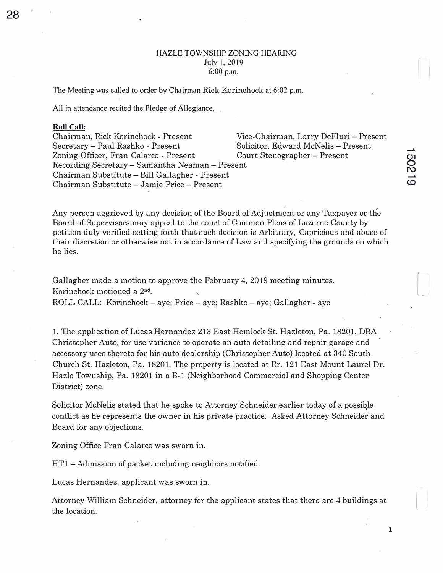## HAZLE TOWNSHIP ZONING HEARING July I, 2019 6:00 p.m.

The Meeting was called to order by Chairman Rick Korinchock at 6:02 p.m.

All in attendance recited the Pledge of Allegiance.

## **Roll Call:**

Chairman, Rick Korinchock - Present Vice-Chairman, Larry DeFluri - Present Secretary- Paul Rashko - Present Solicitor, Edward McNelis - Present Zoning Officer, Fran Calarco - Present Court Stenographer – Present Recording Secretary - Samantha Neaman - Present Chairman Substitute - Bill Gallagher - Present Chairman Substitute - Jamie Price - Present

Any person aggrieved by any decision of the Board of Adjustment or any Taxpayer or the Board of Supervisors may appeal to the court of Common Pleas of Luzerne County by petition duly verified setting forth that such decision is Arbitrary, Capricious and abuse of their discretion or otherwise not in accordance of Law and specifying the grounds on which he lies.

Gallagher made a motion to approve the February 4, 2019 meeting minutes. Korinchock motioned a 2nd. ROLL CALL: Korinchock- aye; Price - aye; Rashko- aye; Gallagher - aye

1. The application of Lucas Hernandez 213 East Hemlock St. Hazleton, Pa. 18201, DBA Christopher Auto, for use variance to operate an auto detailing and repair garage and accessory uses thereto for his auto dealership (Christopher Auto) located at 340 South Church St. Hazleton, Pa. 18201. The property is located at Rr. 121 East Mount Laurel Dr. Hazle Township, Pa. 18201 in a B-1 (Neighborhood Commercial and Shopping Center District) zone.

Solicitor McNelis stated that he spoke to Attorney Schneider earlier today of a possi�le conflict as he represents the owner in his private practice. Asked Attorney Schneider and Board for any objections.

Zoning Office Fran Calarco was sworn in.

HTl - Admission of packet including neighbors notified.

Lucas Hernandez, applicant was sworn in.

Attorney William Schneider, attorney for the applicant states that there are 4 buildings at the location.

 $\overline{\phantom{a}}$ 

**--t.** 

I

 $\begin{array}{c} \begin{array}{c} \begin{array}{c} \begin{array}{c} \end{array}\\ \end{array} \end{array} \end{array} \end{array}$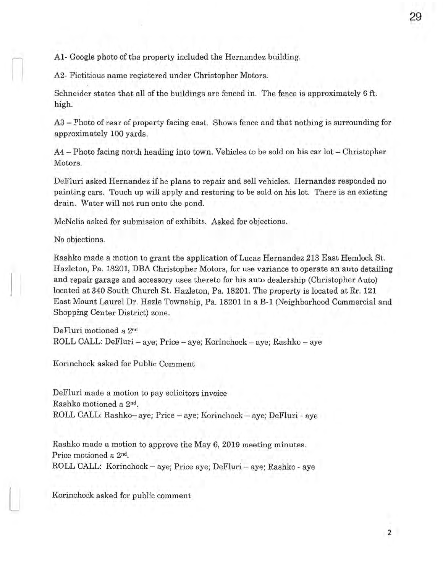A1- Google photo of the property included the Hernandez building.

A2- Fictitious name registered under Christopher Motors.

Schneider states that all of the buildings are fenced in. The fence is approximately 6 ft. high.

A3 – Photo of rear of property facing east. Shows fence and that nothing is surrounding for approximately 100 yards.

 $A4$  – Photo facing north heading into town. Vehicles to be sold on his car lot – Christopher Motors.

De Fluri asked Hernandez if he plans to repair and sell vehicles. Hernandez responded no painting cars. Touch up will apply and restoring to be sold on his lot. There is an existing drain. Water will not run onto the pond.

McNelis asked for submission of exhibits. Asked for objections.

No objections.

Rashko made a motion to grant the application of Lucas Hernandez 213 East Hemlock St. Hazleton, Pa. 18201, DBA Christopher Motors, for use variance to operate an auto detailing and repair garage and accessory uses thereto for his auto dealership (Christopher Auto) located at 340 South Church St. Hazleton, Pa. 18201. The property is located at Rr. 121 East Mount Laurel Dr. Hazle Township, Pa. 18201 in a B-1 (Neighborhood Commercial and Shopping Center District) zone.

DeFluri motioned a 2nd ROLL CALL: DeFluri – aye; Price – aye; Korinchock – aye; Rashko – aye

Korinchock asked for Public Comment

DeFluri made a motion to pay solicitors invoice Rashko motioned a 2<sup>nd</sup>. ROLL CALL: Rashko- aye; Price - aye; Korinchock - aye; DeFluri - aye

Rashko made a motion to approve the May 6, 2019 meeting minutes. Price motioned a 2<sup>nd</sup>. ROLL CALL: Korinchock – aye; Price aye; DeFluri – aye; Rashko - aye

Korinchock asked for public comment

29